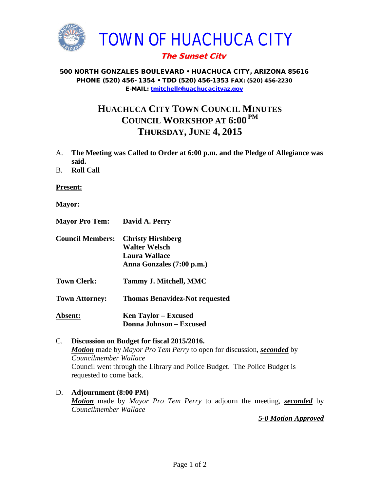

## The Sunset City

## 500 NORTH GONZALES BOULEVARD • HUACHUCA CITY, ARIZONA 85616 PHONE (520) 456- 1354 • TDD (520) 456-1353 FAX: (520) 456-2230 E-MAIL: [tmitchell@huachucacityaz.gov](mailto:tmitchell@huachucacityaz.gov)

## **HUACHUCA CITY TOWN COUNCIL MINUTES COUNCIL WORKSHOP AT 6:00 PM THURSDAY, JUNE 4, 2015**

- A. **The Meeting was Called to Order at 6:00 p.m. and the Pledge of Allegiance was said.**
- B. **Roll Call**

**Present:**

- **Mayor:**
- **Mayor Pro Tem: David A. Perry**
- **Council Members: Christy Hirshberg Walter Welsch Laura Wallace Anna Gonzales (7:00 p.m.)**
- **Town Clerk: Tammy J. Mitchell, MMC**

**Town Attorney: Thomas Benavidez-Not requested**

**Absent: Ken Taylor – Excused Donna Johnson – Excused**

C. **Discussion on Budget for fiscal 2015/2016.** *Motion* made by *Mayor Pro Tem Perry* to open for discussion, *seconded* by *Councilmember Wallace* Council went through the Library and Police Budget. The Police Budget is requested to come back.

## D. **Adjournment (8:00 PM)** *Motion* made by *Mayor Pro Tem Perry* to adjourn the meeting, *seconded* by *Councilmember Wallace*

*5-0 Motion Approved*